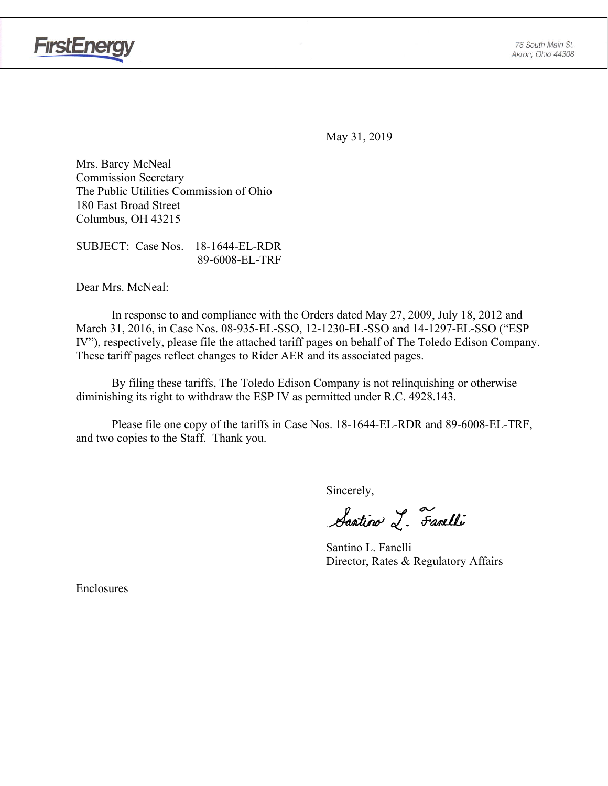



May 31, 2019

Mrs. Barcy McNeal Commission Secretary The Public Utilities Commission of Ohio 180 East Broad Street Columbus, OH 43215

SUBJECT: Case Nos. 18-1644-EL-RDR 89-6008-EL-TRF

Dear Mrs. McNeal:

 In response to and compliance with the Orders dated May 27, 2009, July 18, 2012 and March 31, 2016, in Case Nos. 08-935-EL-SSO, 12-1230-EL-SSO and 14-1297-EL-SSO ("ESP IV"), respectively, please file the attached tariff pages on behalf of The Toledo Edison Company. These tariff pages reflect changes to Rider AER and its associated pages.

By filing these tariffs, The Toledo Edison Company is not relinquishing or otherwise diminishing its right to withdraw the ESP IV as permitted under R.C. 4928.143.

Please file one copy of the tariffs in Case Nos. 18-1644-EL-RDR and 89-6008-EL-TRF, and two copies to the Staff. Thank you.

Sincerely,

Santino L. Fanelli

 Santino L. Fanelli Director, Rates & Regulatory Affairs

Enclosures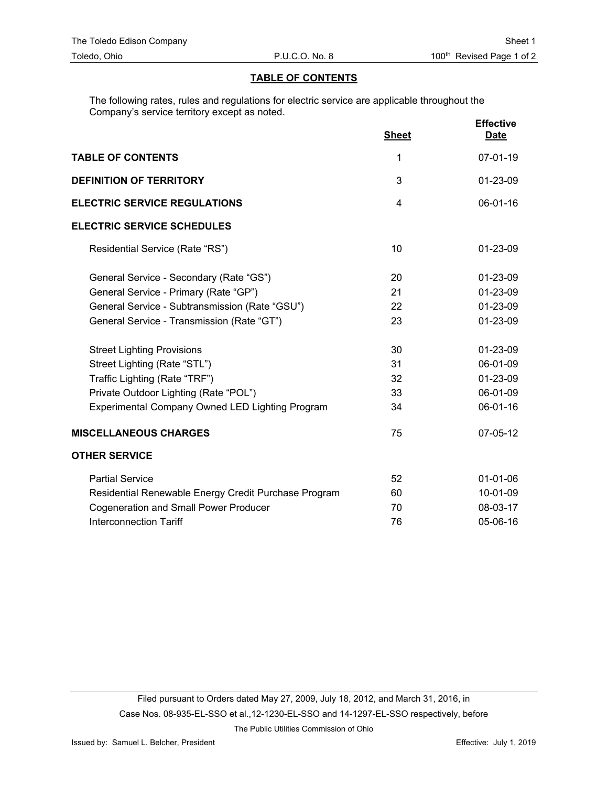## **TABLE OF CONTENTS**

The following rates, rules and regulations for electric service are applicable throughout the Company's service territory except as noted.

|                                                        | <b>Sheet</b> | <b>Effective</b><br><b>Date</b> |
|--------------------------------------------------------|--------------|---------------------------------|
| <b>TABLE OF CONTENTS</b>                               | 1            | 07-01-19                        |
| <b>DEFINITION OF TERRITORY</b>                         | 3            | 01-23-09                        |
| <b>ELECTRIC SERVICE REGULATIONS</b>                    | 4            | 06-01-16                        |
| <b>ELECTRIC SERVICE SCHEDULES</b>                      |              |                                 |
| Residential Service (Rate "RS")                        | 10           | 01-23-09                        |
| General Service - Secondary (Rate "GS")                | 20           | 01-23-09                        |
| General Service - Primary (Rate "GP")                  | 21           | 01-23-09                        |
| General Service - Subtransmission (Rate "GSU")         | 22           | 01-23-09                        |
| General Service - Transmission (Rate "GT")             | 23           | 01-23-09                        |
| <b>Street Lighting Provisions</b>                      | 30           | 01-23-09                        |
| Street Lighting (Rate "STL")                           | 31           | 06-01-09                        |
| Traffic Lighting (Rate "TRF")                          | 32           | 01-23-09                        |
| Private Outdoor Lighting (Rate "POL")                  | 33           | 06-01-09                        |
| <b>Experimental Company Owned LED Lighting Program</b> | 34           | 06-01-16                        |
| <b>MISCELLANEOUS CHARGES</b>                           | 75           | 07-05-12                        |
| <b>OTHER SERVICE</b>                                   |              |                                 |
| <b>Partial Service</b>                                 | 52           | $01 - 01 - 06$                  |
| Residential Renewable Energy Credit Purchase Program   | 60           | 10-01-09                        |
| <b>Cogeneration and Small Power Producer</b>           | 70           | 08-03-17                        |
| <b>Interconnection Tariff</b>                          | 76           | 05-06-16                        |

The Public Utilities Commission of Ohio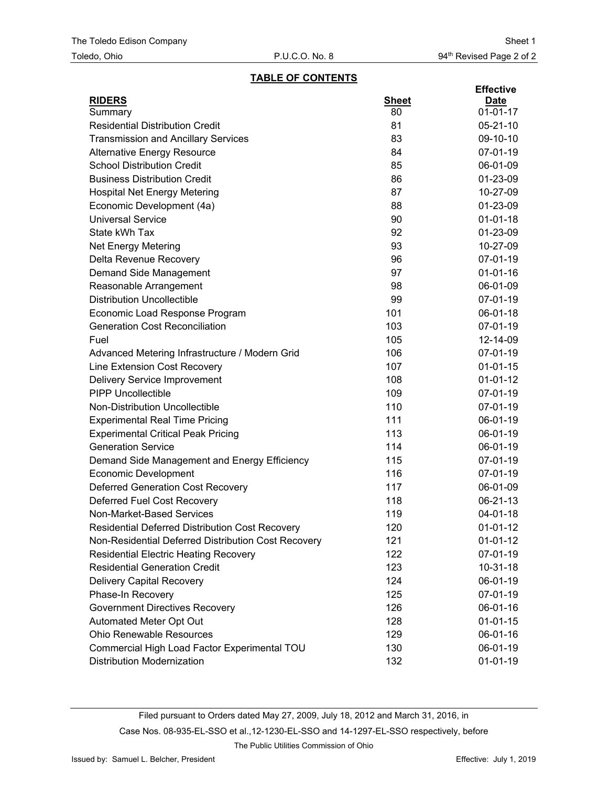#### **TABLE OF CONTENTS**

| <b>RIDERS</b><br><b>Sheet</b><br><b>Date</b><br>80<br>$01 - 01 - 17$<br>Summary<br><b>Residential Distribution Credit</b><br>81<br>$05 - 21 - 10$<br><b>Transmission and Ancillary Services</b><br>83<br>09-10-10<br>84<br>07-01-19<br><b>Alternative Energy Resource</b><br><b>School Distribution Credit</b><br>85<br>06-01-09<br><b>Business Distribution Credit</b><br>86<br>01-23-09<br>87<br><b>Hospital Net Energy Metering</b><br>10-27-09<br>Economic Development (4a)<br>88<br>01-23-09<br>90<br><b>Universal Service</b><br>$01 - 01 - 18$<br>State kWh Tax<br>92<br>01-23-09<br>93<br>10-27-09<br><b>Net Energy Metering</b><br>Delta Revenue Recovery<br>96<br>07-01-19<br>97<br>$01 - 01 - 16$<br>Demand Side Management<br>98<br>06-01-09<br>Reasonable Arrangement<br><b>Distribution Uncollectible</b><br>99<br>07-01-19<br>101<br>Economic Load Response Program<br>06-01-18<br>103<br><b>Generation Cost Reconciliation</b><br>07-01-19<br>Fuel<br>105<br>12-14-09<br>106<br>07-01-19<br>Advanced Metering Infrastructure / Modern Grid<br>Line Extension Cost Recovery<br>107<br>$01 - 01 - 15$<br><b>Delivery Service Improvement</b><br>108<br>$01 - 01 - 12$<br><b>PIPP Uncollectible</b><br>109<br>07-01-19<br>Non-Distribution Uncollectible<br>110<br>07-01-19<br><b>Experimental Real Time Pricing</b><br>111<br>06-01-19<br><b>Experimental Critical Peak Pricing</b><br>113<br>06-01-19<br><b>Generation Service</b><br>114<br>06-01-19<br>115<br>07-01-19<br>Demand Side Management and Energy Efficiency<br>116<br>07-01-19<br><b>Economic Development</b><br><b>Deferred Generation Cost Recovery</b><br>117<br>06-01-09<br>Deferred Fuel Cost Recovery<br>118<br>06-21-13<br>Non-Market-Based Services<br>119<br>04-01-18<br>120<br>Residential Deferred Distribution Cost Recovery<br>$01-01-12$<br>Non-Residential Deferred Distribution Cost Recovery<br>$01-01-12$<br>121<br>122<br><b>Residential Electric Heating Recovery</b><br>07-01-19<br><b>Residential Generation Credit</b><br>123<br>$10-31-18$<br><b>Delivery Capital Recovery</b><br>124<br>06-01-19<br>Phase-In Recovery<br>125<br>07-01-19<br><b>Government Directives Recovery</b><br>126<br>06-01-16<br>Automated Meter Opt Out<br>128<br>$01 - 01 - 15$<br><b>Ohio Renewable Resources</b><br>129<br>06-01-16<br>Commercial High Load Factor Experimental TOU<br>130<br>06-01-19 |  | <b>Effective</b> |
|----------------------------------------------------------------------------------------------------------------------------------------------------------------------------------------------------------------------------------------------------------------------------------------------------------------------------------------------------------------------------------------------------------------------------------------------------------------------------------------------------------------------------------------------------------------------------------------------------------------------------------------------------------------------------------------------------------------------------------------------------------------------------------------------------------------------------------------------------------------------------------------------------------------------------------------------------------------------------------------------------------------------------------------------------------------------------------------------------------------------------------------------------------------------------------------------------------------------------------------------------------------------------------------------------------------------------------------------------------------------------------------------------------------------------------------------------------------------------------------------------------------------------------------------------------------------------------------------------------------------------------------------------------------------------------------------------------------------------------------------------------------------------------------------------------------------------------------------------------------------------------------------------------------------------------------------------------------------------------------------------------------------------------------------------------------------------------------------------------------------------------------------------------------------------------------------------------------------------------------------------------------------------------------------------------------------------------------------------------------------------------------|--|------------------|
|                                                                                                                                                                                                                                                                                                                                                                                                                                                                                                                                                                                                                                                                                                                                                                                                                                                                                                                                                                                                                                                                                                                                                                                                                                                                                                                                                                                                                                                                                                                                                                                                                                                                                                                                                                                                                                                                                                                                                                                                                                                                                                                                                                                                                                                                                                                                                                                        |  |                  |
|                                                                                                                                                                                                                                                                                                                                                                                                                                                                                                                                                                                                                                                                                                                                                                                                                                                                                                                                                                                                                                                                                                                                                                                                                                                                                                                                                                                                                                                                                                                                                                                                                                                                                                                                                                                                                                                                                                                                                                                                                                                                                                                                                                                                                                                                                                                                                                                        |  |                  |
|                                                                                                                                                                                                                                                                                                                                                                                                                                                                                                                                                                                                                                                                                                                                                                                                                                                                                                                                                                                                                                                                                                                                                                                                                                                                                                                                                                                                                                                                                                                                                                                                                                                                                                                                                                                                                                                                                                                                                                                                                                                                                                                                                                                                                                                                                                                                                                                        |  |                  |
|                                                                                                                                                                                                                                                                                                                                                                                                                                                                                                                                                                                                                                                                                                                                                                                                                                                                                                                                                                                                                                                                                                                                                                                                                                                                                                                                                                                                                                                                                                                                                                                                                                                                                                                                                                                                                                                                                                                                                                                                                                                                                                                                                                                                                                                                                                                                                                                        |  |                  |
|                                                                                                                                                                                                                                                                                                                                                                                                                                                                                                                                                                                                                                                                                                                                                                                                                                                                                                                                                                                                                                                                                                                                                                                                                                                                                                                                                                                                                                                                                                                                                                                                                                                                                                                                                                                                                                                                                                                                                                                                                                                                                                                                                                                                                                                                                                                                                                                        |  |                  |
|                                                                                                                                                                                                                                                                                                                                                                                                                                                                                                                                                                                                                                                                                                                                                                                                                                                                                                                                                                                                                                                                                                                                                                                                                                                                                                                                                                                                                                                                                                                                                                                                                                                                                                                                                                                                                                                                                                                                                                                                                                                                                                                                                                                                                                                                                                                                                                                        |  |                  |
|                                                                                                                                                                                                                                                                                                                                                                                                                                                                                                                                                                                                                                                                                                                                                                                                                                                                                                                                                                                                                                                                                                                                                                                                                                                                                                                                                                                                                                                                                                                                                                                                                                                                                                                                                                                                                                                                                                                                                                                                                                                                                                                                                                                                                                                                                                                                                                                        |  |                  |
|                                                                                                                                                                                                                                                                                                                                                                                                                                                                                                                                                                                                                                                                                                                                                                                                                                                                                                                                                                                                                                                                                                                                                                                                                                                                                                                                                                                                                                                                                                                                                                                                                                                                                                                                                                                                                                                                                                                                                                                                                                                                                                                                                                                                                                                                                                                                                                                        |  |                  |
|                                                                                                                                                                                                                                                                                                                                                                                                                                                                                                                                                                                                                                                                                                                                                                                                                                                                                                                                                                                                                                                                                                                                                                                                                                                                                                                                                                                                                                                                                                                                                                                                                                                                                                                                                                                                                                                                                                                                                                                                                                                                                                                                                                                                                                                                                                                                                                                        |  |                  |
|                                                                                                                                                                                                                                                                                                                                                                                                                                                                                                                                                                                                                                                                                                                                                                                                                                                                                                                                                                                                                                                                                                                                                                                                                                                                                                                                                                                                                                                                                                                                                                                                                                                                                                                                                                                                                                                                                                                                                                                                                                                                                                                                                                                                                                                                                                                                                                                        |  |                  |
|                                                                                                                                                                                                                                                                                                                                                                                                                                                                                                                                                                                                                                                                                                                                                                                                                                                                                                                                                                                                                                                                                                                                                                                                                                                                                                                                                                                                                                                                                                                                                                                                                                                                                                                                                                                                                                                                                                                                                                                                                                                                                                                                                                                                                                                                                                                                                                                        |  |                  |
|                                                                                                                                                                                                                                                                                                                                                                                                                                                                                                                                                                                                                                                                                                                                                                                                                                                                                                                                                                                                                                                                                                                                                                                                                                                                                                                                                                                                                                                                                                                                                                                                                                                                                                                                                                                                                                                                                                                                                                                                                                                                                                                                                                                                                                                                                                                                                                                        |  |                  |
|                                                                                                                                                                                                                                                                                                                                                                                                                                                                                                                                                                                                                                                                                                                                                                                                                                                                                                                                                                                                                                                                                                                                                                                                                                                                                                                                                                                                                                                                                                                                                                                                                                                                                                                                                                                                                                                                                                                                                                                                                                                                                                                                                                                                                                                                                                                                                                                        |  |                  |
|                                                                                                                                                                                                                                                                                                                                                                                                                                                                                                                                                                                                                                                                                                                                                                                                                                                                                                                                                                                                                                                                                                                                                                                                                                                                                                                                                                                                                                                                                                                                                                                                                                                                                                                                                                                                                                                                                                                                                                                                                                                                                                                                                                                                                                                                                                                                                                                        |  |                  |
|                                                                                                                                                                                                                                                                                                                                                                                                                                                                                                                                                                                                                                                                                                                                                                                                                                                                                                                                                                                                                                                                                                                                                                                                                                                                                                                                                                                                                                                                                                                                                                                                                                                                                                                                                                                                                                                                                                                                                                                                                                                                                                                                                                                                                                                                                                                                                                                        |  |                  |
|                                                                                                                                                                                                                                                                                                                                                                                                                                                                                                                                                                                                                                                                                                                                                                                                                                                                                                                                                                                                                                                                                                                                                                                                                                                                                                                                                                                                                                                                                                                                                                                                                                                                                                                                                                                                                                                                                                                                                                                                                                                                                                                                                                                                                                                                                                                                                                                        |  |                  |
|                                                                                                                                                                                                                                                                                                                                                                                                                                                                                                                                                                                                                                                                                                                                                                                                                                                                                                                                                                                                                                                                                                                                                                                                                                                                                                                                                                                                                                                                                                                                                                                                                                                                                                                                                                                                                                                                                                                                                                                                                                                                                                                                                                                                                                                                                                                                                                                        |  |                  |
|                                                                                                                                                                                                                                                                                                                                                                                                                                                                                                                                                                                                                                                                                                                                                                                                                                                                                                                                                                                                                                                                                                                                                                                                                                                                                                                                                                                                                                                                                                                                                                                                                                                                                                                                                                                                                                                                                                                                                                                                                                                                                                                                                                                                                                                                                                                                                                                        |  |                  |
|                                                                                                                                                                                                                                                                                                                                                                                                                                                                                                                                                                                                                                                                                                                                                                                                                                                                                                                                                                                                                                                                                                                                                                                                                                                                                                                                                                                                                                                                                                                                                                                                                                                                                                                                                                                                                                                                                                                                                                                                                                                                                                                                                                                                                                                                                                                                                                                        |  |                  |
|                                                                                                                                                                                                                                                                                                                                                                                                                                                                                                                                                                                                                                                                                                                                                                                                                                                                                                                                                                                                                                                                                                                                                                                                                                                                                                                                                                                                                                                                                                                                                                                                                                                                                                                                                                                                                                                                                                                                                                                                                                                                                                                                                                                                                                                                                                                                                                                        |  |                  |
|                                                                                                                                                                                                                                                                                                                                                                                                                                                                                                                                                                                                                                                                                                                                                                                                                                                                                                                                                                                                                                                                                                                                                                                                                                                                                                                                                                                                                                                                                                                                                                                                                                                                                                                                                                                                                                                                                                                                                                                                                                                                                                                                                                                                                                                                                                                                                                                        |  |                  |
|                                                                                                                                                                                                                                                                                                                                                                                                                                                                                                                                                                                                                                                                                                                                                                                                                                                                                                                                                                                                                                                                                                                                                                                                                                                                                                                                                                                                                                                                                                                                                                                                                                                                                                                                                                                                                                                                                                                                                                                                                                                                                                                                                                                                                                                                                                                                                                                        |  |                  |
|                                                                                                                                                                                                                                                                                                                                                                                                                                                                                                                                                                                                                                                                                                                                                                                                                                                                                                                                                                                                                                                                                                                                                                                                                                                                                                                                                                                                                                                                                                                                                                                                                                                                                                                                                                                                                                                                                                                                                                                                                                                                                                                                                                                                                                                                                                                                                                                        |  |                  |
|                                                                                                                                                                                                                                                                                                                                                                                                                                                                                                                                                                                                                                                                                                                                                                                                                                                                                                                                                                                                                                                                                                                                                                                                                                                                                                                                                                                                                                                                                                                                                                                                                                                                                                                                                                                                                                                                                                                                                                                                                                                                                                                                                                                                                                                                                                                                                                                        |  |                  |
|                                                                                                                                                                                                                                                                                                                                                                                                                                                                                                                                                                                                                                                                                                                                                                                                                                                                                                                                                                                                                                                                                                                                                                                                                                                                                                                                                                                                                                                                                                                                                                                                                                                                                                                                                                                                                                                                                                                                                                                                                                                                                                                                                                                                                                                                                                                                                                                        |  |                  |
|                                                                                                                                                                                                                                                                                                                                                                                                                                                                                                                                                                                                                                                                                                                                                                                                                                                                                                                                                                                                                                                                                                                                                                                                                                                                                                                                                                                                                                                                                                                                                                                                                                                                                                                                                                                                                                                                                                                                                                                                                                                                                                                                                                                                                                                                                                                                                                                        |  |                  |
|                                                                                                                                                                                                                                                                                                                                                                                                                                                                                                                                                                                                                                                                                                                                                                                                                                                                                                                                                                                                                                                                                                                                                                                                                                                                                                                                                                                                                                                                                                                                                                                                                                                                                                                                                                                                                                                                                                                                                                                                                                                                                                                                                                                                                                                                                                                                                                                        |  |                  |
|                                                                                                                                                                                                                                                                                                                                                                                                                                                                                                                                                                                                                                                                                                                                                                                                                                                                                                                                                                                                                                                                                                                                                                                                                                                                                                                                                                                                                                                                                                                                                                                                                                                                                                                                                                                                                                                                                                                                                                                                                                                                                                                                                                                                                                                                                                                                                                                        |  |                  |
|                                                                                                                                                                                                                                                                                                                                                                                                                                                                                                                                                                                                                                                                                                                                                                                                                                                                                                                                                                                                                                                                                                                                                                                                                                                                                                                                                                                                                                                                                                                                                                                                                                                                                                                                                                                                                                                                                                                                                                                                                                                                                                                                                                                                                                                                                                                                                                                        |  |                  |
|                                                                                                                                                                                                                                                                                                                                                                                                                                                                                                                                                                                                                                                                                                                                                                                                                                                                                                                                                                                                                                                                                                                                                                                                                                                                                                                                                                                                                                                                                                                                                                                                                                                                                                                                                                                                                                                                                                                                                                                                                                                                                                                                                                                                                                                                                                                                                                                        |  |                  |
|                                                                                                                                                                                                                                                                                                                                                                                                                                                                                                                                                                                                                                                                                                                                                                                                                                                                                                                                                                                                                                                                                                                                                                                                                                                                                                                                                                                                                                                                                                                                                                                                                                                                                                                                                                                                                                                                                                                                                                                                                                                                                                                                                                                                                                                                                                                                                                                        |  |                  |
|                                                                                                                                                                                                                                                                                                                                                                                                                                                                                                                                                                                                                                                                                                                                                                                                                                                                                                                                                                                                                                                                                                                                                                                                                                                                                                                                                                                                                                                                                                                                                                                                                                                                                                                                                                                                                                                                                                                                                                                                                                                                                                                                                                                                                                                                                                                                                                                        |  |                  |
|                                                                                                                                                                                                                                                                                                                                                                                                                                                                                                                                                                                                                                                                                                                                                                                                                                                                                                                                                                                                                                                                                                                                                                                                                                                                                                                                                                                                                                                                                                                                                                                                                                                                                                                                                                                                                                                                                                                                                                                                                                                                                                                                                                                                                                                                                                                                                                                        |  |                  |
|                                                                                                                                                                                                                                                                                                                                                                                                                                                                                                                                                                                                                                                                                                                                                                                                                                                                                                                                                                                                                                                                                                                                                                                                                                                                                                                                                                                                                                                                                                                                                                                                                                                                                                                                                                                                                                                                                                                                                                                                                                                                                                                                                                                                                                                                                                                                                                                        |  |                  |
|                                                                                                                                                                                                                                                                                                                                                                                                                                                                                                                                                                                                                                                                                                                                                                                                                                                                                                                                                                                                                                                                                                                                                                                                                                                                                                                                                                                                                                                                                                                                                                                                                                                                                                                                                                                                                                                                                                                                                                                                                                                                                                                                                                                                                                                                                                                                                                                        |  |                  |
|                                                                                                                                                                                                                                                                                                                                                                                                                                                                                                                                                                                                                                                                                                                                                                                                                                                                                                                                                                                                                                                                                                                                                                                                                                                                                                                                                                                                                                                                                                                                                                                                                                                                                                                                                                                                                                                                                                                                                                                                                                                                                                                                                                                                                                                                                                                                                                                        |  |                  |
|                                                                                                                                                                                                                                                                                                                                                                                                                                                                                                                                                                                                                                                                                                                                                                                                                                                                                                                                                                                                                                                                                                                                                                                                                                                                                                                                                                                                                                                                                                                                                                                                                                                                                                                                                                                                                                                                                                                                                                                                                                                                                                                                                                                                                                                                                                                                                                                        |  |                  |
|                                                                                                                                                                                                                                                                                                                                                                                                                                                                                                                                                                                                                                                                                                                                                                                                                                                                                                                                                                                                                                                                                                                                                                                                                                                                                                                                                                                                                                                                                                                                                                                                                                                                                                                                                                                                                                                                                                                                                                                                                                                                                                                                                                                                                                                                                                                                                                                        |  |                  |
|                                                                                                                                                                                                                                                                                                                                                                                                                                                                                                                                                                                                                                                                                                                                                                                                                                                                                                                                                                                                                                                                                                                                                                                                                                                                                                                                                                                                                                                                                                                                                                                                                                                                                                                                                                                                                                                                                                                                                                                                                                                                                                                                                                                                                                                                                                                                                                                        |  |                  |
|                                                                                                                                                                                                                                                                                                                                                                                                                                                                                                                                                                                                                                                                                                                                                                                                                                                                                                                                                                                                                                                                                                                                                                                                                                                                                                                                                                                                                                                                                                                                                                                                                                                                                                                                                                                                                                                                                                                                                                                                                                                                                                                                                                                                                                                                                                                                                                                        |  |                  |
|                                                                                                                                                                                                                                                                                                                                                                                                                                                                                                                                                                                                                                                                                                                                                                                                                                                                                                                                                                                                                                                                                                                                                                                                                                                                                                                                                                                                                                                                                                                                                                                                                                                                                                                                                                                                                                                                                                                                                                                                                                                                                                                                                                                                                                                                                                                                                                                        |  |                  |
|                                                                                                                                                                                                                                                                                                                                                                                                                                                                                                                                                                                                                                                                                                                                                                                                                                                                                                                                                                                                                                                                                                                                                                                                                                                                                                                                                                                                                                                                                                                                                                                                                                                                                                                                                                                                                                                                                                                                                                                                                                                                                                                                                                                                                                                                                                                                                                                        |  |                  |
| <b>Distribution Modernization</b><br>132<br>$01 - 01 - 19$                                                                                                                                                                                                                                                                                                                                                                                                                                                                                                                                                                                                                                                                                                                                                                                                                                                                                                                                                                                                                                                                                                                                                                                                                                                                                                                                                                                                                                                                                                                                                                                                                                                                                                                                                                                                                                                                                                                                                                                                                                                                                                                                                                                                                                                                                                                             |  |                  |

Filed pursuant to Orders dated May 27, 2009, July 18, 2012 and March 31, 2016, in Case Nos. 08-935-EL-SSO et al.,12-1230-EL-SSO and 14-1297-EL-SSO respectively, before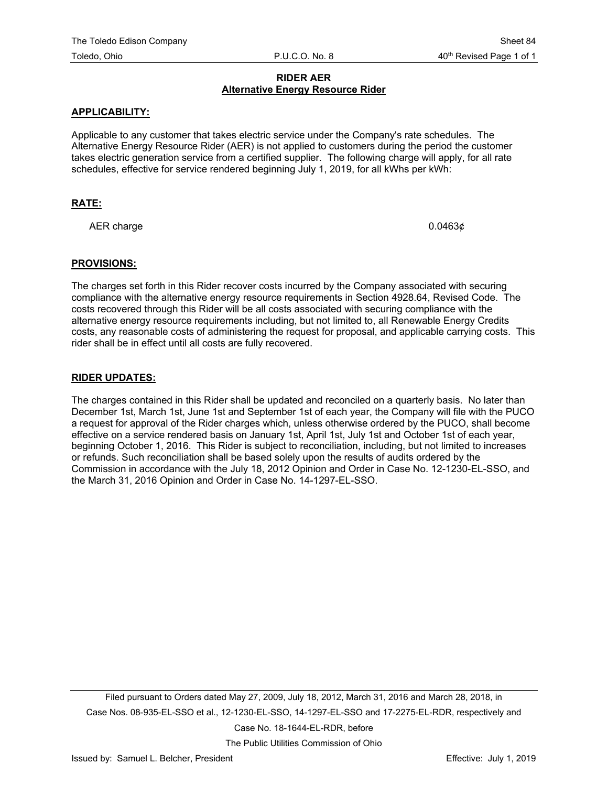## **RIDER AER Alternative Energy Resource Rider**

## **APPLICABILITY:**

Applicable to any customer that takes electric service under the Company's rate schedules. The Alternative Energy Resource Rider (AER) is not applied to customers during the period the customer takes electric generation service from a certified supplier. The following charge will apply, for all rate schedules, effective for service rendered beginning July 1, 2019, for all kWhs per kWh:

## **RATE:**

AER charge  $0.0463¢$ 

#### **PROVISIONS:**

The charges set forth in this Rider recover costs incurred by the Company associated with securing compliance with the alternative energy resource requirements in Section 4928.64, Revised Code. The costs recovered through this Rider will be all costs associated with securing compliance with the alternative energy resource requirements including, but not limited to, all Renewable Energy Credits costs, any reasonable costs of administering the request for proposal, and applicable carrying costs. This rider shall be in effect until all costs are fully recovered.

#### **RIDER UPDATES:**

The charges contained in this Rider shall be updated and reconciled on a quarterly basis. No later than December 1st, March 1st, June 1st and September 1st of each year, the Company will file with the PUCO a request for approval of the Rider charges which, unless otherwise ordered by the PUCO, shall become effective on a service rendered basis on January 1st, April 1st, July 1st and October 1st of each year, beginning October 1, 2016. This Rider is subject to reconciliation, including, but not limited to increases or refunds. Such reconciliation shall be based solely upon the results of audits ordered by the Commission in accordance with the July 18, 2012 Opinion and Order in Case No. 12-1230-EL-SSO, and the March 31, 2016 Opinion and Order in Case No. 14-1297-EL-SSO.

Filed pursuant to Orders dated May 27, 2009, July 18, 2012, March 31, 2016 and March 28, 2018, in Case Nos. 08-935-EL-SSO et al., 12-1230-EL-SSO, 14-1297-EL-SSO and 17-2275-EL-RDR, respectively and

Case No. 18-1644-EL-RDR, before

The Public Utilities Commission of Ohio